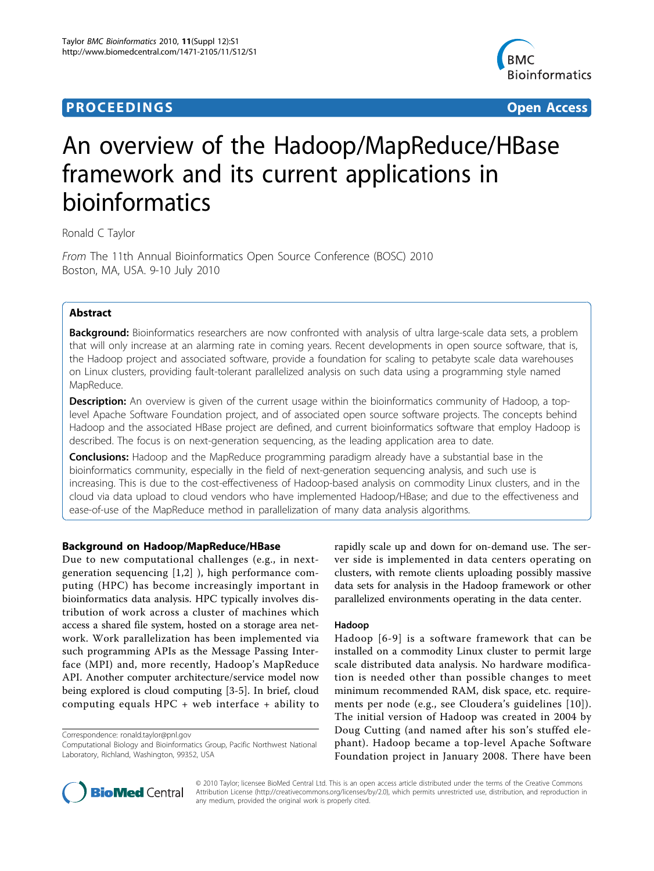## **PROCEEDINGS STATES CONSUMING S** Open Access **CONSUMING S**



# An overview of the Hadoop/MapReduce/HBase framework and its current applications in bioinformatics

Ronald C Taylor

From The 11th Annual Bioinformatics Open Source Conference (BOSC) 2010 Boston, MA, USA. 9-10 July 2010

## Abstract

Background: Bioinformatics researchers are now confronted with analysis of ultra large-scale data sets, a problem that will only increase at an alarming rate in coming years. Recent developments in open source software, that is, the Hadoop project and associated software, provide a foundation for scaling to petabyte scale data warehouses on Linux clusters, providing fault-tolerant parallelized analysis on such data using a programming style named MapReduce.

Description: An overview is given of the current usage within the bioinformatics community of Hadoop, a toplevel Apache Software Foundation project, and of associated open source software projects. The concepts behind Hadoop and the associated HBase project are defined, and current bioinformatics software that employ Hadoop is described. The focus is on next-generation sequencing, as the leading application area to date.

**Conclusions:** Hadoop and the MapReduce programming paradigm already have a substantial base in the bioinformatics community, especially in the field of next-generation sequencing analysis, and such use is increasing. This is due to the cost-effectiveness of Hadoop-based analysis on commodity Linux clusters, and in the cloud via data upload to cloud vendors who have implemented Hadoop/HBase; and due to the effectiveness and ease-of-use of the MapReduce method in parallelization of many data analysis algorithms.

## Background on Hadoop/MapReduce/HBase

Due to new computational challenges (e.g., in nextgeneration sequencing [[1](#page-4-0),[2\]](#page-4-0) ), high performance computing (HPC) has become increasingly important in bioinformatics data analysis. HPC typically involves distribution of work across a cluster of machines which access a shared file system, hosted on a storage area network. Work parallelization has been implemented via such programming APIs as the Message Passing Interface (MPI) and, more recently, Hadoop's MapReduce API. Another computer architecture/service model now being explored is cloud computing [[3-5](#page-4-0)]. In brief, cloud computing equals HPC + web interface + ability to

Correspondence: [ronald.taylor@pnl.gov](mailto:ronald.taylor@pnl.gov)

rapidly scale up and down for on-demand use. The server side is implemented in data centers operating on clusters, with remote clients uploading possibly massive data sets for analysis in the Hadoop framework or other parallelized environments operating in the data center.

### Hadoop

Hadoop [[6-9\]](#page-4-0) is a software framework that can be installed on a commodity Linux cluster to permit large scale distributed data analysis. No hardware modification is needed other than possible changes to meet minimum recommended RAM, disk space, etc. requirements per node (e.g., see Cloudera's guidelines [[10\]](#page-4-0)). The initial version of Hadoop was created in 2004 by Doug Cutting (and named after his son's stuffed elephant). Hadoop became a top-level Apache Software Foundation project in January 2008. There have been



© 2010 Taylor; licensee BioMed Central Ltd. This is an open access article distributed under the terms of the Creative Commons Attribution License [\(http://creativecommons.org/licenses/by/2.0](http://creativecommons.org/licenses/by/2.0)), which permits unrestricted use, distribution, and reproduction in any medium, provided the original work is properly cited.

Computational Biology and Bioinformatics Group, Pacific Northwest National Laboratory, Richland, Washington, 99352, USA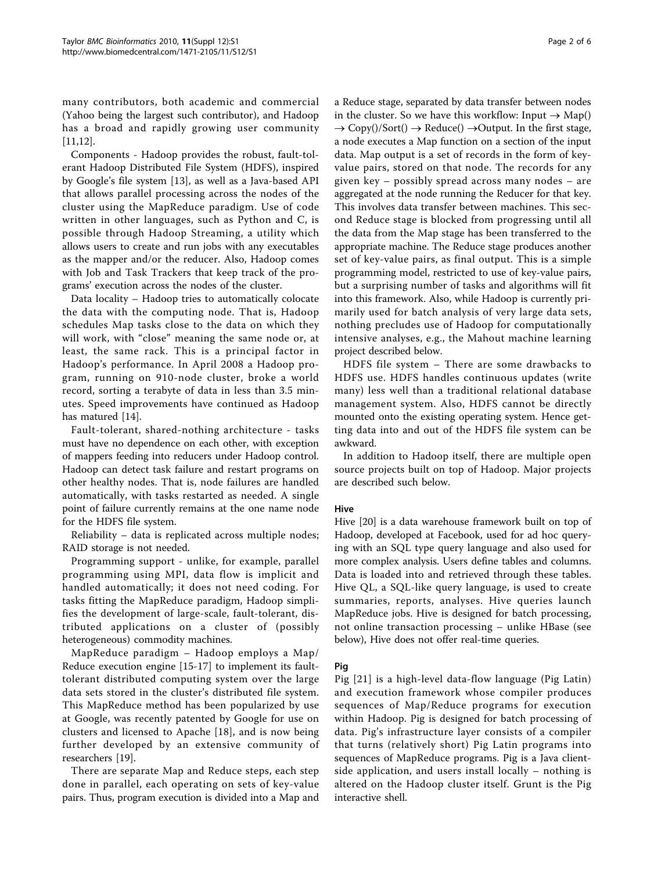many contributors, both academic and commercial (Yahoo being the largest such contributor), and Hadoop has a broad and rapidly growing user community [[11,12\]](#page-4-0).

Components - Hadoop provides the robust, fault-tolerant Hadoop Distributed File System (HDFS), inspired by Google's file system [[13](#page-4-0)], as well as a Java-based API that allows parallel processing across the nodes of the cluster using the MapReduce paradigm. Use of code written in other languages, such as Python and C, is possible through Hadoop Streaming, a utility which allows users to create and run jobs with any executables as the mapper and/or the reducer. Also, Hadoop comes with Job and Task Trackers that keep track of the programs' execution across the nodes of the cluster.

Data locality – Hadoop tries to automatically colocate the data with the computing node. That is, Hadoop schedules Map tasks close to the data on which they will work, with "close" meaning the same node or, at least, the same rack. This is a principal factor in Hadoop's performance. In April 2008 a Hadoop program, running on 910-node cluster, broke a world record, sorting a terabyte of data in less than 3.5 minutes. Speed improvements have continued as Hadoop has matured [[14\]](#page-4-0).

Fault-tolerant, shared-nothing architecture - tasks must have no dependence on each other, with exception of mappers feeding into reducers under Hadoop control. Hadoop can detect task failure and restart programs on other healthy nodes. That is, node failures are handled automatically, with tasks restarted as needed. A single point of failure currently remains at the one name node for the HDFS file system.

Reliability – data is replicated across multiple nodes; RAID storage is not needed.

Programming support - unlike, for example, parallel programming using MPI, data flow is implicit and handled automatically; it does not need coding. For tasks fitting the MapReduce paradigm, Hadoop simplifies the development of large-scale, fault-tolerant, distributed applications on a cluster of (possibly heterogeneous) commodity machines.

MapReduce paradigm – Hadoop employs a Map/ Reduce execution engine [[15](#page-4-0)-[17\]](#page-4-0) to implement its faulttolerant distributed computing system over the large data sets stored in the cluster's distributed file system. This MapReduce method has been popularized by use at Google, was recently patented by Google for use on clusters and licensed to Apache [[18\]](#page-4-0), and is now being further developed by an extensive community of researchers [[19\]](#page-5-0).

There are separate Map and Reduce steps, each step done in parallel, each operating on sets of key-value pairs. Thus, program execution is divided into a Map and a Reduce stage, separated by data transfer between nodes in the cluster. So we have this workflow: Input  $\rightarrow$  Map()  $\rightarrow$  Copy()/Sort()  $\rightarrow$  Reduce()  $\rightarrow$ Output. In the first stage, a node executes a Map function on a section of the input data. Map output is a set of records in the form of keyvalue pairs, stored on that node. The records for any given key – possibly spread across many nodes – are aggregated at the node running the Reducer for that key. This involves data transfer between machines. This second Reduce stage is blocked from progressing until all the data from the Map stage has been transferred to the appropriate machine. The Reduce stage produces another set of key-value pairs, as final output. This is a simple programming model, restricted to use of key-value pairs, but a surprising number of tasks and algorithms will fit into this framework. Also, while Hadoop is currently primarily used for batch analysis of very large data sets, nothing precludes use of Hadoop for computationally intensive analyses, e.g., the Mahout machine learning project described below.

HDFS file system – There are some drawbacks to HDFS use. HDFS handles continuous updates (write many) less well than a traditional relational database management system. Also, HDFS cannot be directly mounted onto the existing operating system. Hence getting data into and out of the HDFS file system can be awkward.

In addition to Hadoop itself, there are multiple open source projects built on top of Hadoop. Major projects are described such below.

### Hive

Hive [\[20\]](#page-5-0) is a data warehouse framework built on top of Hadoop, developed at Facebook, used for ad hoc querying with an SQL type query language and also used for more complex analysis. Users define tables and columns. Data is loaded into and retrieved through these tables. Hive QL, a SQL-like query language, is used to create summaries, reports, analyses. Hive queries launch MapReduce jobs. Hive is designed for batch processing, not online transaction processing – unlike HBase (see below), Hive does not offer real-time queries.

#### Pig

Pig [[21\]](#page-5-0) is a high-level data-flow language (Pig Latin) and execution framework whose compiler produces sequences of Map/Reduce programs for execution within Hadoop. Pig is designed for batch processing of data. Pig's infrastructure layer consists of a compiler that turns (relatively short) Pig Latin programs into sequences of MapReduce programs. Pig is a Java clientside application, and users install locally – nothing is altered on the Hadoop cluster itself. Grunt is the Pig interactive shell.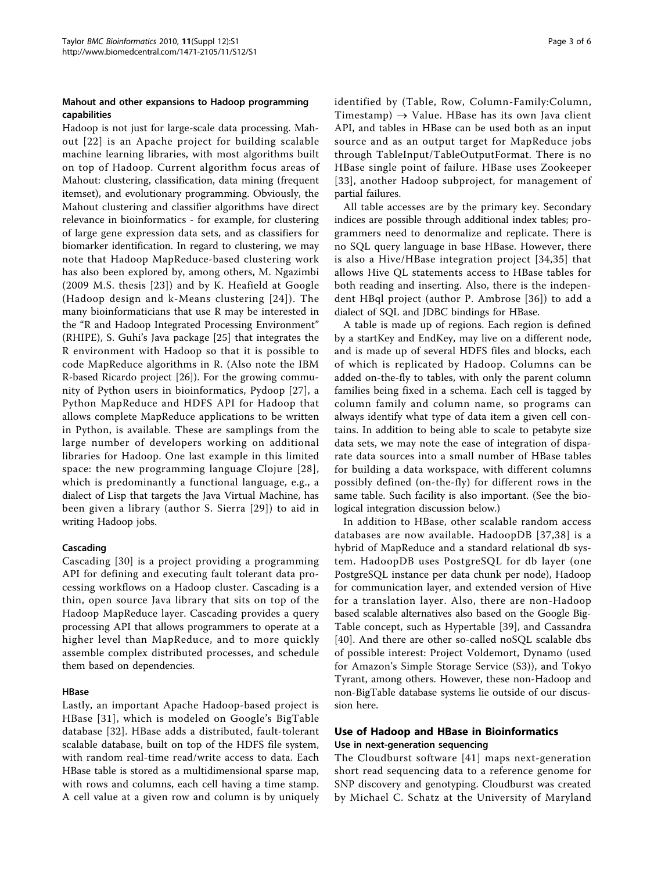### Mahout and other expansions to Hadoop programming capabilities

Hadoop is not just for large-scale data processing. Mahout [[22](#page-5-0)] is an Apache project for building scalable machine learning libraries, with most algorithms built on top of Hadoop. Current algorithm focus areas of Mahout: clustering, classification, data mining (frequent itemset), and evolutionary programming. Obviously, the Mahout clustering and classifier algorithms have direct relevance in bioinformatics - for example, for clustering of large gene expression data sets, and as classifiers for biomarker identification. In regard to clustering, we may note that Hadoop MapReduce-based clustering work has also been explored by, among others, M. Ngazimbi (2009 M.S. thesis [[23\]](#page-5-0)) and by K. Heafield at Google (Hadoop design and k-Means clustering [[24](#page-5-0)]). The many bioinformaticians that use R may be interested in the "R and Hadoop Integrated Processing Environment" (RHIPE), S. Guhi's Java package [\[25](#page-5-0)] that integrates the R environment with Hadoop so that it is possible to code MapReduce algorithms in R. (Also note the IBM R-based Ricardo project [\[26](#page-5-0)]). For the growing community of Python users in bioinformatics, Pydoop [[27\]](#page-5-0), a Python MapReduce and HDFS API for Hadoop that allows complete MapReduce applications to be written in Python, is available. These are samplings from the large number of developers working on additional libraries for Hadoop. One last example in this limited space: the new programming language Clojure [[28\]](#page-5-0), which is predominantly a functional language, e.g., a dialect of Lisp that targets the Java Virtual Machine, has been given a library (author S. Sierra [[29\]](#page-5-0)) to aid in writing Hadoop jobs.

#### Cascading

Cascading [[30](#page-5-0)] is a project providing a programming API for defining and executing fault tolerant data processing workflows on a Hadoop cluster. Cascading is a thin, open source Java library that sits on top of the Hadoop MapReduce layer. Cascading provides a query processing API that allows programmers to operate at a higher level than MapReduce, and to more quickly assemble complex distributed processes, and schedule them based on dependencies.

### HBase

Lastly, an important Apache Hadoop-based project is HBase [[31\]](#page-5-0), which is modeled on Google's BigTable database [\[32](#page-5-0)]. HBase adds a distributed, fault-tolerant scalable database, built on top of the HDFS file system, with random real-time read/write access to data. Each HBase table is stored as a multidimensional sparse map, with rows and columns, each cell having a time stamp. A cell value at a given row and column is by uniquely identified by (Table, Row, Column-Family:Column, Timestamp)  $\rightarrow$  Value. HBase has its own Java client API, and tables in HBase can be used both as an input source and as an output target for MapReduce jobs through TableInput/TableOutputFormat. There is no HBase single point of failure. HBase uses Zookeeper [[33\]](#page-5-0), another Hadoop subproject, for management of partial failures.

All table accesses are by the primary key. Secondary indices are possible through additional index tables; programmers need to denormalize and replicate. There is no SQL query language in base HBase. However, there is also a Hive/HBase integration project [[34](#page-5-0),[35](#page-5-0)] that allows Hive QL statements access to HBase tables for both reading and inserting. Also, there is the independent HBql project (author P. Ambrose [[36\]](#page-5-0)) to add a dialect of SQL and JDBC bindings for HBase.

A table is made up of regions. Each region is defined by a startKey and EndKey, may live on a different node, and is made up of several HDFS files and blocks, each of which is replicated by Hadoop. Columns can be added on-the-fly to tables, with only the parent column families being fixed in a schema. Each cell is tagged by column family and column name, so programs can always identify what type of data item a given cell contains. In addition to being able to scale to petabyte size data sets, we may note the ease of integration of disparate data sources into a small number of HBase tables for building a data workspace, with different columns possibly defined (on-the-fly) for different rows in the same table. Such facility is also important. (See the biological integration discussion below.)

In addition to HBase, other scalable random access databases are now available. HadoopDB [[37,38\]](#page-5-0) is a hybrid of MapReduce and a standard relational db system. HadoopDB uses PostgreSQL for db layer (one PostgreSQL instance per data chunk per node), Hadoop for communication layer, and extended version of Hive for a translation layer. Also, there are non-Hadoop based scalable alternatives also based on the Google Big-Table concept, such as Hypertable [[39](#page-5-0)], and Cassandra [[40](#page-5-0)]. And there are other so-called noSQL scalable dbs of possible interest: Project Voldemort, Dynamo (used for Amazon's Simple Storage Service (S3)), and Tokyo Tyrant, among others. However, these non-Hadoop and non-BigTable database systems lie outside of our discussion here.

## Use of Hadoop and HBase in Bioinformatics Use in next-generation sequencing

The Cloudburst software [[41](#page-5-0)] maps next-generation short read sequencing data to a reference genome for SNP discovery and genotyping. Cloudburst was created by Michael C. Schatz at the University of Maryland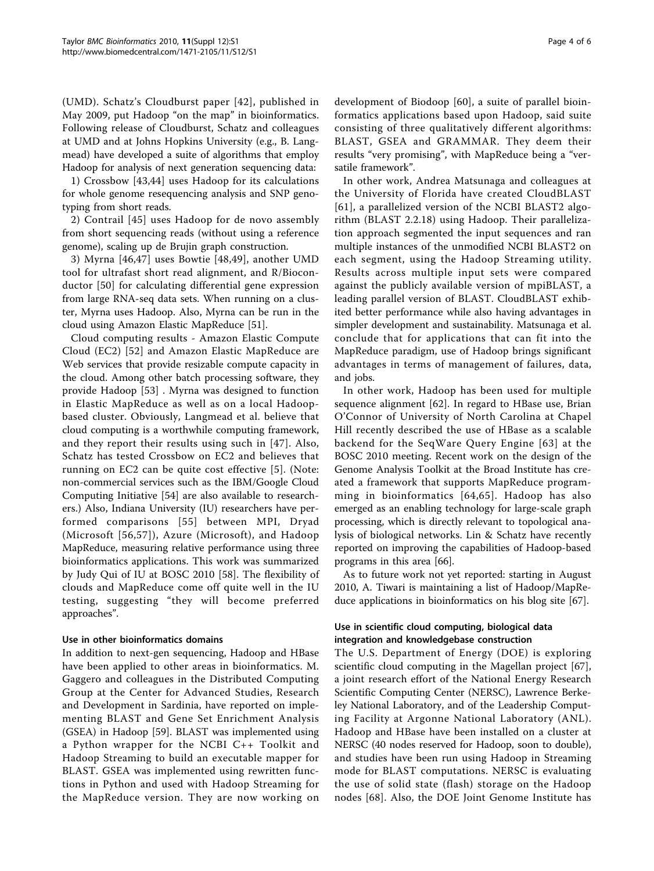(UMD). Schatz's Cloudburst paper [\[42\]](#page-5-0), published in May 2009, put Hadoop "on the map" in bioinformatics. Following release of Cloudburst, Schatz and colleagues at UMD and at Johns Hopkins University (e.g., B. Langmead) have developed a suite of algorithms that employ Hadoop for analysis of next generation sequencing data:

1) Crossbow [\[43,44\]](#page-5-0) uses Hadoop for its calculations for whole genome resequencing analysis and SNP genotyping from short reads.

2) Contrail [[45](#page-5-0)] uses Hadoop for de novo assembly from short sequencing reads (without using a reference genome), scaling up de Brujin graph construction.

3) Myrna [\[46,47](#page-5-0)] uses Bowtie [[48,49](#page-5-0)], another UMD tool for ultrafast short read alignment, and R/Bioconductor [\[50\]](#page-5-0) for calculating differential gene expression from large RNA-seq data sets. When running on a cluster, Myrna uses Hadoop. Also, Myrna can be run in the cloud using Amazon Elastic MapReduce [[51\]](#page-5-0).

Cloud computing results - Amazon Elastic Compute Cloud (EC2) [\[52\]](#page-5-0) and Amazon Elastic MapReduce are Web services that provide resizable compute capacity in the cloud. Among other batch processing software, they provide Hadoop [[53\]](#page-5-0) . Myrna was designed to function in Elastic MapReduce as well as on a local Hadoopbased cluster. Obviously, Langmead et al. believe that cloud computing is a worthwhile computing framework, and they report their results using such in [\[47\]](#page-5-0). Also, Schatz has tested Crossbow on EC2 and believes that running on EC2 can be quite cost effective [[5\]](#page-4-0). (Note: non-commercial services such as the IBM/Google Cloud Computing Initiative [[54\]](#page-5-0) are also available to researchers.) Also, Indiana University (IU) researchers have performed comparisons [[55\]](#page-5-0) between MPI, Dryad (Microsoft [[56,57\]](#page-5-0)), Azure (Microsoft), and Hadoop MapReduce, measuring relative performance using three bioinformatics applications. This work was summarized by Judy Qui of IU at BOSC 2010 [\[58](#page-5-0)]. The flexibility of clouds and MapReduce come off quite well in the IU testing, suggesting "they will become preferred approaches".

## Use in other bioinformatics domains

In addition to next-gen sequencing, Hadoop and HBase have been applied to other areas in bioinformatics. M. Gaggero and colleagues in the Distributed Computing Group at the Center for Advanced Studies, Research and Development in Sardinia, have reported on implementing BLAST and Gene Set Enrichment Analysis (GSEA) in Hadoop [[59](#page-5-0)]. BLAST was implemented using a Python wrapper for the NCBI C++ Toolkit and Hadoop Streaming to build an executable mapper for BLAST. GSEA was implemented using rewritten functions in Python and used with Hadoop Streaming for the MapReduce version. They are now working on

development of Biodoop [\[60](#page-5-0)], a suite of parallel bioinformatics applications based upon Hadoop, said suite consisting of three qualitatively different algorithms: BLAST, GSEA and GRAMMAR. They deem their results "very promising", with MapReduce being a "versatile framework".

In other work, Andrea Matsunaga and colleagues at the University of Florida have created CloudBLAST [[61](#page-5-0)], a parallelized version of the NCBI BLAST2 algorithm (BLAST 2.2.18) using Hadoop. Their parallelization approach segmented the input sequences and ran multiple instances of the unmodified NCBI BLAST2 on each segment, using the Hadoop Streaming utility. Results across multiple input sets were compared against the publicly available version of mpiBLAST, a leading parallel version of BLAST. CloudBLAST exhibited better performance while also having advantages in simpler development and sustainability. Matsunaga et al. conclude that for applications that can fit into the MapReduce paradigm, use of Hadoop brings significant advantages in terms of management of failures, data, and jobs.

In other work, Hadoop has been used for multiple sequence alignment [\[62](#page-5-0)]. In regard to HBase use, Brian O'Connor of University of North Carolina at Chapel Hill recently described the use of HBase as a scalable backend for the SeqWare Query Engine [[63](#page-5-0)] at the BOSC 2010 meeting. Recent work on the design of the Genome Analysis Toolkit at the Broad Institute has created a framework that supports MapReduce programming in bioinformatics [[64,65](#page-5-0)]. Hadoop has also emerged as an enabling technology for large-scale graph processing, which is directly relevant to topological analysis of biological networks. Lin & Schatz have recently reported on improving the capabilities of Hadoop-based programs in this area [[66\]](#page-5-0).

As to future work not yet reported: starting in August 2010, A. Tiwari is maintaining a list of Hadoop/MapReduce applications in bioinformatics on his blog site [\[67](#page-5-0)].

### Use in scientific cloud computing, biological data integration and knowledgebase construction

The U.S. Department of Energy (DOE) is exploring scientific cloud computing in the Magellan project [\[67](#page-5-0)], a joint research effort of the National Energy Research Scientific Computing Center (NERSC), Lawrence Berkeley National Laboratory, and of the Leadership Computing Facility at Argonne National Laboratory (ANL). Hadoop and HBase have been installed on a cluster at NERSC (40 nodes reserved for Hadoop, soon to double), and studies have been run using Hadoop in Streaming mode for BLAST computations. NERSC is evaluating the use of solid state (flash) storage on the Hadoop nodes [\[68\]](#page-5-0). Also, the DOE Joint Genome Institute has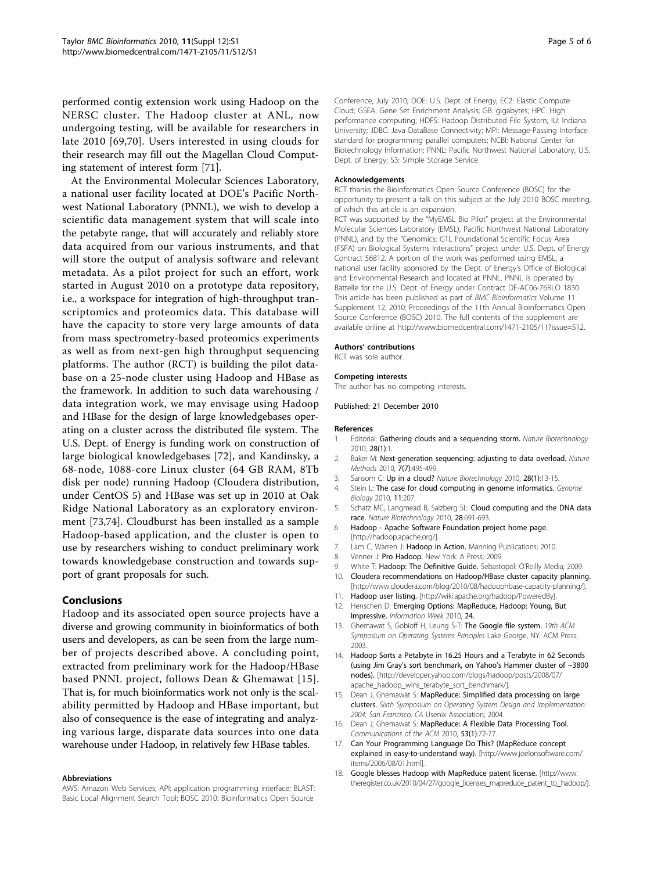<span id="page-4-0"></span>performed contig extension work using Hadoop on the NERSC cluster. The Hadoop cluster at ANL, now undergoing testing, will be available for researchers in late 2010 [[69](#page-5-0),[70](#page-5-0)]. Users interested in using clouds for their research may fill out the Magellan Cloud Computing statement of interest form [[71](#page-5-0)].

At the Environmental Molecular Sciences Laboratory, a national user facility located at DOE's Pacific Northwest National Laboratory (PNNL), we wish to develop a scientific data management system that will scale into the petabyte range, that will accurately and reliably store data acquired from our various instruments, and that will store the output of analysis software and relevant metadata. As a pilot project for such an effort, work started in August 2010 on a prototype data repository, i.e., a workspace for integration of high-throughput transcriptomics and proteomics data. This database will have the capacity to store very large amounts of data from mass spectrometry-based proteomics experiments as well as from next-gen high throughput sequencing platforms. The author (RCT) is building the pilot database on a 25-node cluster using Hadoop and HBase as the framework. In addition to such data warehousing / data integration work, we may envisage using Hadoop and HBase for the design of large knowledgebases operating on a cluster across the distributed file system. The U.S. Dept. of Energy is funding work on construction of large biological knowledgebases [\[72\]](#page-5-0), and Kandinsky, a 68-node, 1088-core Linux cluster (64 GB RAM, 8Tb disk per node) running Hadoop (Cloudera distribution, under CentOS 5) and HBase was set up in 2010 at Oak Ridge National Laboratory as an exploratory environment [[73](#page-5-0),[74\]](#page-5-0). Cloudburst has been installed as a sample Hadoop-based application, and the cluster is open to use by researchers wishing to conduct preliminary work towards knowledgebase construction and towards support of grant proposals for such.

#### Conclusions

Hadoop and its associated open source projects have a diverse and growing community in bioinformatics of both users and developers, as can be seen from the large number of projects described above. A concluding point, extracted from preliminary work for the Hadoop/HBase based PNNL project, follows Dean & Ghemawat [15]. That is, for much bioinformatics work not only is the scalability permitted by Hadoop and HBase important, but also of consequence is the ease of integrating and analyzing various large, disparate data sources into one data warehouse under Hadoop, in relatively few HBase tables.

#### Abbreviations

AWS: Amazon Web Services; API: application programming interface; BLAST: Basic Local Alignment Search Tool; BOSC 2010: Bioinformatics Open Source

Conference, July 2010; DOE: U.S. Dept. of Energy; EC2: Elastic Compute Cloud; GSEA: Gene Set Enrichment Analysis; GB: gigabytes; HPC: High performance computing; HDFS: Hadoop Distributed File System; IU: Indiana University; JDBC: Java DataBase Connectivity; MPI: Message-Passing Interface standard for programming parallel computers; NCBI: National Center for Biotechnology Information; PNNL: Pacific Northwest National Laboratory, U.S. Dept. of Energy; S3: Simple Storage Service

#### Acknowledgements

RCT thanks the Bioinformatics Open Source Conference (BOSC) for the opportunity to present a talk on this subject at the July 2010 BOSC meeting, of which this article is an expansion.

RCT was supported by the "MyEMSL Bio Pilot" project at the Environmental Molecular Sciences Laboratory (EMSL), Pacific Northwest National Laboratory (PNNL), and by the "Genomics: GTL Foundational Scientific Focus Area (FSFA) on Biological Systems Interactions" project under U.S. Dept. of Energy Contract 56812. A portion of the work was performed using EMSL, a national user facility sponsored by the Dept. of Energy's Office of Biological and Environmental Research and located at PNNL. PNNL is operated by Battelle for the U.S. Dept. of Energy under Contract DE-AC06-76RLO 1830. This article has been published as part of BMC Bioinformatics Volume 11 Supplement 12, 2010: Proceedings of the 11th Annual Bioinformatics Open Source Conference (BOSC) 2010. The full contents of the supplement are available online at [http://www.biomedcentral.com/1471-2105/11?issue=S12.](http://www.biomedcentral.com/1471-2105/11?issue=S12)

#### Authors' contributions

RCT was sole author.

#### Competing interests

The author has no competing interests.

Published: 21 December 2010

#### References

- 1. Editorial: [Gathering clouds and a sequencing storm.](http://www.ncbi.nlm.nih.gov/pubmed/20062015?dopt=Abstract) Nature Biotechnology 2010, 28(1):1.
- 2. Baker M: Next-generation sequencing: adjusting to data overload. Nature Methods 2010, 7(7):495-499.
- 3. Sansom C: [Up in a cloud?](http://www.ncbi.nlm.nih.gov/pubmed/20062029?dopt=Abstract) Nature Biotechnology 2010, 28(1):13-15.
- 4. Stein L: [The case for cloud computing in genome informatics.](http://www.ncbi.nlm.nih.gov/pubmed/20441614?dopt=Abstract) Genome Biology 2010, 11:207.
- 5. Schatz MC, Langmead B, Salzberg SL: [Cloud computing and the DNA data](http://www.ncbi.nlm.nih.gov/pubmed/20622843?dopt=Abstract) [race.](http://www.ncbi.nlm.nih.gov/pubmed/20622843?dopt=Abstract) Nature Biotechnology 2010, 28:691-693.
- 6. Hadoop Apache Software Foundation project home page. [[http://hadoop.apache.org/\]](http://�hadoop.apache.org/).
- 7. Lam C, Warren J: Hadoop in Action. Manning Publications; 2010.
- 8. Venner J: Pro Hadoop. New York: A Press; 2009.
- 9. White T: Hadoop: The Definitive Guide. Sebastopol: O'Reilly Media; 2009.
- 10. Cloudera recommendations on Hadoop/HBase cluster capacity planning.
- [<http://www.cloudera.com/blog/2010/08/hadoophbase-capacity-planning/>]. 11. Hadoop user listing. [<http://wiki.apache.org/hadoop/PoweredBy>].
- Henschen D: Emerging Options: MapReduce, Hadoop: Young, But Impressive. Information Week 2010, 24.
- 13. Ghemawat S, Gobioff H, Leung S-T: The Google file system. 19th ACM Symposium on Operating Systems Principles Lake George, NY: ACM Press; 2003.
- 14. Hadoop Sorts a Petabyte in 16.25 Hours and a Terabyte in 62 Seconds (using Jim Gray's sort benchmark, on Yahoo's Hammer cluster of ~3800 nodes). [\[http://developer.yahoo.com/blogs/hadoop/posts/2008/07/](http://developer.yahoo.com/blogs/hadoop/posts/2008/07/apache_hadoop_wins_terabyte_sort_benchmark/) [apache\\_hadoop\\_wins\\_terabyte\\_sort\\_benchmark/](http://developer.yahoo.com/blogs/hadoop/posts/2008/07/apache_hadoop_wins_terabyte_sort_benchmark/)].
- 15. Dean J, Ghemawat S: MapReduce: Simplified data processing on large clusters. Sixth Symposium on Operating System Design and Implementation: 2004; San Francisco, CA Usenix Association; 2004.
- 16. Dean J, Ghemawat S: MapReduce: A Flexible Data Processing Tool. Communications of the ACM 2010, 53(1):72-77.
- 17. Can Your Programming Language Do This? (MapReduce concept explained in easy-to-understand way). [\[http://www.joelonsoftware.com/](http://www.joelonsoftware.com/items/2006/08/01.html) [items/2006/08/01.html\]](http://www.joelonsoftware.com/items/2006/08/01.html).
- 18. Google blesses Hadoop with MapReduce patent license. [\[http://www.](http://www.theregister.co.uk/2010/04/27/google_licenses_mapreduce_patent_to_hadoop/) [theregister.co.uk/2010/04/27/google\\_licenses\\_mapreduce\\_patent\\_to\\_hadoop/\]](http://www.theregister.co.uk/2010/04/27/google_licenses_mapreduce_patent_to_hadoop/).